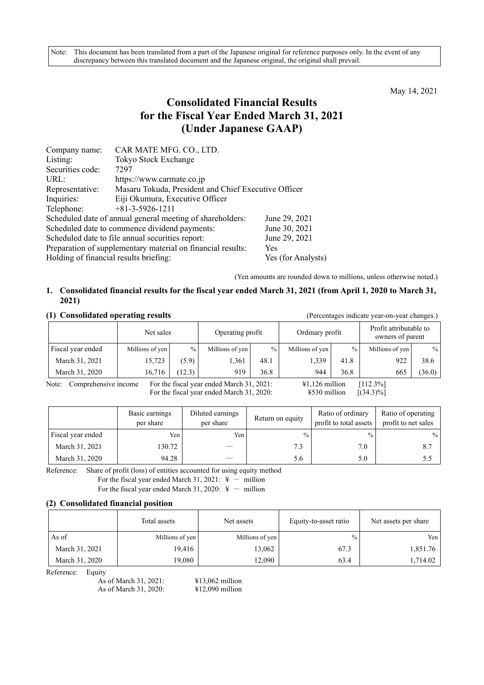Note: This document has been translated from a part of the Japanese original for reference purposes only. In the event of any discrepancy between this translated document and the Japanese original, the original shall prevail.

May 14, 2021

# **Consolidated Financial Results for the Fiscal Year Ended March 31, 2021 (Under Japanese GAAP)**

| Company name:                                                      | CAR MATE MFG. CO., LTD.                                   |                    |  |  |  |
|--------------------------------------------------------------------|-----------------------------------------------------------|--------------------|--|--|--|
| Listing:                                                           | Tokyo Stock Exchange                                      |                    |  |  |  |
| Securities code:                                                   | 7297                                                      |                    |  |  |  |
| URL:                                                               | https://www.carmate.co.jp                                 |                    |  |  |  |
| Representative:                                                    | Masaru Tokuda, President and Chief Executive Officer      |                    |  |  |  |
| Inquiries:                                                         | Eiji Okumura, Executive Officer                           |                    |  |  |  |
| Telephone:                                                         | $+81-3-5926-1211$                                         |                    |  |  |  |
|                                                                    | Scheduled date of annual general meeting of shareholders: | June 29, 2021      |  |  |  |
|                                                                    | Scheduled date to commence dividend payments:             | June 30, 2021      |  |  |  |
|                                                                    | Scheduled date to file annual securities report:          | June 29, 2021      |  |  |  |
| Preparation of supplementary material on financial results:<br>Yes |                                                           |                    |  |  |  |
| Holding of financial results briefing:                             |                                                           | Yes (for Analysts) |  |  |  |

(Yen amounts are rounded down to millions, unless otherwise noted.)

## **1. Consolidated financial results for the fiscal year ended March 31, 2021 (from April 1, 2020 to March 31, 2021)**

## **(1) Consolidated operating results** (Percentages indicate year-on-year changes.) Net sales Operating profit | Ordinary profit Profit attributable to owners of parent Fiscal year ended Millions of yen % Millions of yen % Millions of yen % Millions of yen % Millions of yen March 31, 2021 | 15,723 (5.9) 1,361 48.1 1,339 41.8 922 38.6 March 31, 2020 16,716 (12.3) 919 36.8 944 36.8 665 (36.0)

Note: Comprehensive income For the fiscal year ended March 31, 2021:  $\text{41,126 million}$  [112.3%] For the fiscal year ended March 31, 2020:  $\qquad \qquad$  ¥530 million [(34.3)%]

|                   | Basic earnings<br>per share | Diluted earnings<br>per share | Return on equity | Ratio of ordinary<br>profit to total assets | Ratio of operating<br>profit to net sales |
|-------------------|-----------------------------|-------------------------------|------------------|---------------------------------------------|-------------------------------------------|
| Fiscal year ended | Yen                         | Yen                           | $\frac{0}{0}$    | $\frac{0}{0}$                               | $\%$                                      |
| March 31, 2021    | 130.72                      |                               | 7.3              | 7.0                                         | 8.7                                       |
| March 31, 2020    | 94.28                       |                               | 5.6              | 5.0                                         | 5.5                                       |

Reference: Share of profit (loss) of entities accounted for using equity method

For the fiscal year ended March 31, 2021:  $\frac{1}{4}$  - million

For the fiscal year ended March 31, 2020:  $\frac{4}{3}$  - million

#### **(2) Consolidated financial position**

|                | Total assets    | Net assets      | Equity-to-asset ratio | Net assets per share |
|----------------|-----------------|-----------------|-----------------------|----------------------|
| As of          | Millions of yen | Millions of yen | $\%$                  | Yen                  |
| March 31, 2021 | 19,416          | 13,062          | 67.3                  | 1,851.76             |
| March 31, 2020 | 19,080          | 12,090          | 63.4                  | 1,714.02             |

Reference: Equity

As of March 31, 2021: ¥13,062 million As of March 31, 2020: ¥12,090 million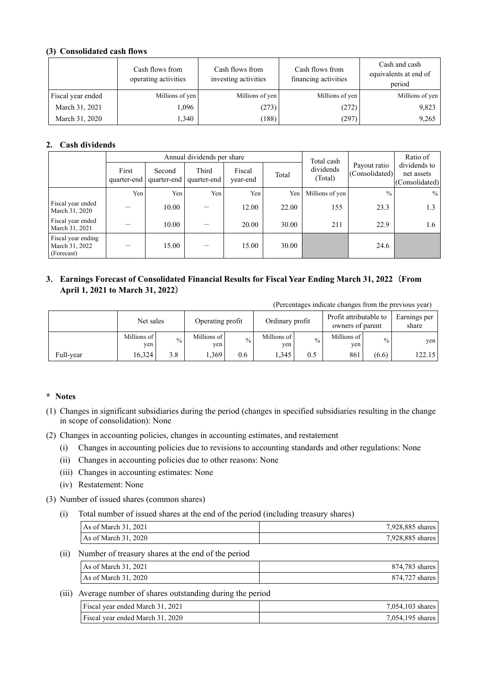## **(3) Consolidated cash flows**

|                   | Cash flows from<br>operating activities | Cash flows from<br>investing activities | Cash flows from<br>financing activities | Cash and cash<br>equivalents at end of<br>period |
|-------------------|-----------------------------------------|-----------------------------------------|-----------------------------------------|--------------------------------------------------|
| Fiscal year ended | Millions of yen                         | Millions of yen                         | Millions of yen                         | Millions of yen                                  |
| March 31, 2021    | 1,096                                   | (273)                                   | (272)                                   | 9,823                                            |
| March 31, 2020    | 1,340                                   | (188)                                   | (297)                                   | 9,265                                            |

## **2. Cash dividends**

|                                                    |                      |                       | Annual dividends per share |                    |       | Total cash           |                                | Ratio of                                     |
|----------------------------------------------------|----------------------|-----------------------|----------------------------|--------------------|-------|----------------------|--------------------------------|----------------------------------------------|
|                                                    | First<br>quarter-end | Second<br>quarter-end | Third<br>quarter-end       | Fiscal<br>year-end | Total | dividends<br>(Total) | Payout ratio<br>(Consolidated) | dividends to<br>net assets<br>(Consolidated) |
|                                                    | Yen                  | Yen                   | Yen                        | Yen                | Yen   | Millions of yen      | $\frac{0}{0}$                  | $\%$                                         |
| Fiscal year ended<br>March 31, 2020                |                      | 10.00                 |                            | 12.00              | 22.00 | 155                  | 23.3                           | 1.3                                          |
| Fiscal year ended<br>March 31, 2021                |                      | 10.00                 |                            | 20.00              | 30.00 | 211                  | 22.9                           | 1.6                                          |
| Fiscal year ending<br>March 31, 2022<br>(Forecast) |                      | 15.00                 |                            | 15.00              | 30.00 |                      | 24.6                           |                                              |

## **3**. **Earnings Forecast of Consolidated Financial Results for Fiscal Year Ending March 31, 2022**(**From April 1, 2021 to March 31, 2022**)

(Percentages indicate changes from the previous year)

|           | Net sales          |               | Operating profit   |               | Ordinary profit    |               | Profit attributable to<br>owners of parent |       | Earnings per<br>share |
|-----------|--------------------|---------------|--------------------|---------------|--------------------|---------------|--------------------------------------------|-------|-----------------------|
|           | Millions of<br>ven | $\frac{0}{0}$ | Millions of<br>yen | $\frac{0}{0}$ | Millions of<br>ven | $\frac{0}{0}$ | Millions of<br>yen                         | $\%$  | yen                   |
| Full-year | 16.324             | 3.8           | .369               | 0.6           | 1.345              | 0.5           | 861                                        | (6.6) | 122.15                |

## **\* Notes**

- (1) Changes in significant subsidiaries during the period (changes in specified subsidiaries resulting in the change in scope of consolidation): None
- (2) Changes in accounting policies, changes in accounting estimates, and restatement
	- (i) Changes in accounting policies due to revisions to accounting standards and other regulations: None
	- (ii) Changes in accounting policies due to other reasons: None
	- (iii) Changes in accounting estimates: None
	- (iv) Restatement: None
- (3) Number of issued shares (common shares)
	- (i) Total number of issued shares at the end of the period (including treasury shares)

| As of March $31, 2021$ | 7,928,885 shares |
|------------------------|------------------|
| As of March 31, 2020   | 7,928,885 shares |

(ii) Number of treasury shares at the end of the period

| As of March $31, 2021$ | 874,783 shares I |
|------------------------|------------------|
| As of March 31, 2020   | 874,727 shares   |

## (iii) Average number of shares outstanding during the period

| Fiscal year ended March 31, 2021 | $7,054,103$ shares |
|----------------------------------|--------------------|
| Fiscal year ended March 31, 2020 | 7,054,195 shares   |